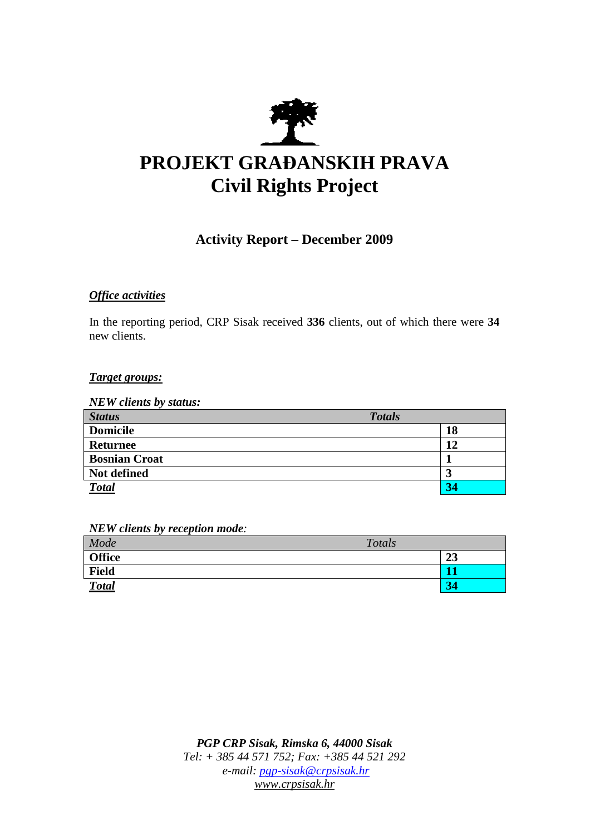

# **PROJEKT GRA**ð**ANSKIH PRAVA Civil Rights Project**

# **Activity Report – December 2009**

## *Office activities*

In the reporting period, CRP Sisak received **336** clients, out of which there were **34**  new clients.

### *Target groups:*

*NEW clients by status:* 

| <b>Status</b>        | <b>Totals</b> |
|----------------------|---------------|
| <b>Domicile</b>      | 18            |
| <b>Returnee</b>      | 12            |
| <b>Bosnian Croat</b> |               |
| Not defined          | J             |
| <b>Total</b>         | 34            |

*NEW clients by reception mode:* 

| Mode          | Totals |           |
|---------------|--------|-----------|
| <b>Office</b> |        | 23        |
| <b>Field</b>  |        |           |
| <b>Total</b>  |        | <b>34</b> |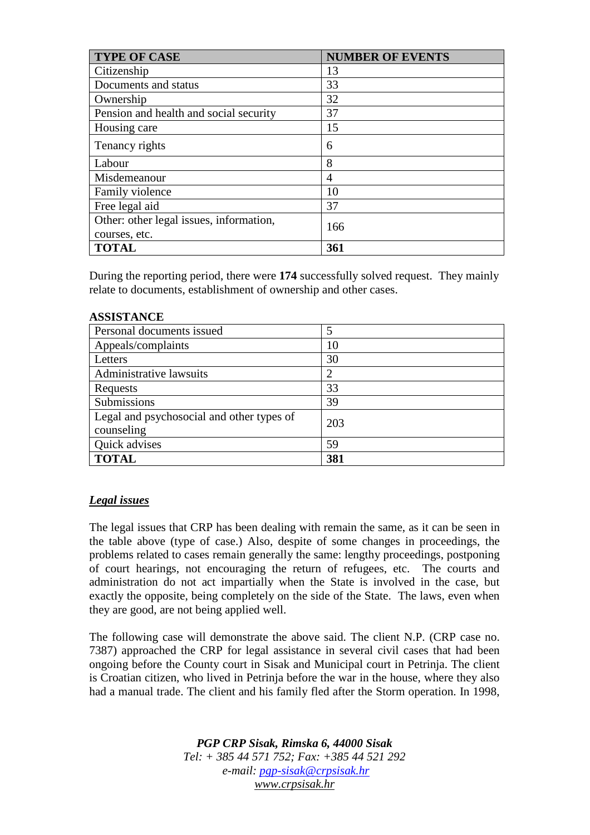| <b>TYPE OF CASE</b>                     | <b>NUMBER OF EVENTS</b> |  |
|-----------------------------------------|-------------------------|--|
| Citizenship                             | 13                      |  |
| Documents and status                    | 33                      |  |
| Ownership                               | 32                      |  |
| Pension and health and social security  | 37                      |  |
| Housing care                            | 15                      |  |
| Tenancy rights                          | 6                       |  |
| Labour                                  | 8                       |  |
| Misdemeanour                            | 4                       |  |
| Family violence                         | 10                      |  |
| Free legal aid                          | 37                      |  |
| Other: other legal issues, information, | 166                     |  |
| courses, etc.                           |                         |  |
| <b>TOTAL</b>                            | 361                     |  |

During the reporting period, there were **174** successfully solved request. They mainly relate to documents, establishment of ownership and other cases.

#### **ASSISTANCE**

| Personal documents issued                               |     |
|---------------------------------------------------------|-----|
| Appeals/complaints                                      | 10  |
| Letters                                                 | 30  |
| Administrative lawsuits                                 | 2   |
| Requests                                                | 33  |
| Submissions                                             | 39  |
| Legal and psychosocial and other types of<br>counseling | 203 |
| Quick advises                                           | 59  |
| <b>TOTAL</b>                                            | 381 |

#### *Legal issues*

The legal issues that CRP has been dealing with remain the same, as it can be seen in the table above (type of case.) Also, despite of some changes in proceedings, the problems related to cases remain generally the same: lengthy proceedings, postponing of court hearings, not encouraging the return of refugees, etc. The courts and administration do not act impartially when the State is involved in the case, but exactly the opposite, being completely on the side of the State. The laws, even when they are good, are not being applied well.

The following case will demonstrate the above said. The client N.P. (CRP case no. 7387) approached the CRP for legal assistance in several civil cases that had been ongoing before the County court in Sisak and Municipal court in Petrinja. The client is Croatian citizen, who lived in Petrinja before the war in the house, where they also had a manual trade. The client and his family fled after the Storm operation. In 1998,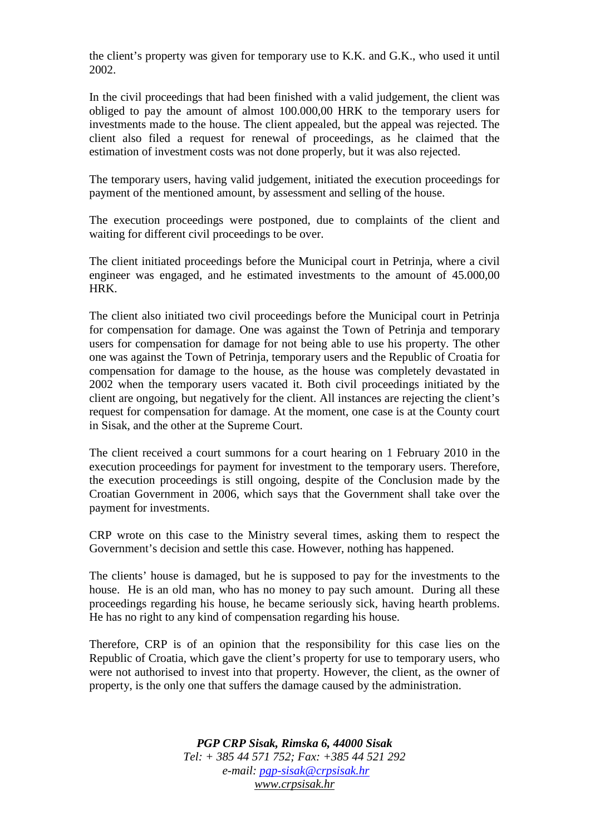the client's property was given for temporary use to K.K. and G.K., who used it until 2002.

In the civil proceedings that had been finished with a valid judgement, the client was obliged to pay the amount of almost 100.000,00 HRK to the temporary users for investments made to the house. The client appealed, but the appeal was rejected. The client also filed a request for renewal of proceedings, as he claimed that the estimation of investment costs was not done properly, but it was also rejected.

The temporary users, having valid judgement, initiated the execution proceedings for payment of the mentioned amount, by assessment and selling of the house.

The execution proceedings were postponed, due to complaints of the client and waiting for different civil proceedings to be over.

The client initiated proceedings before the Municipal court in Petrinja, where a civil engineer was engaged, and he estimated investments to the amount of 45.000,00 HRK.

The client also initiated two civil proceedings before the Municipal court in Petrinja for compensation for damage. One was against the Town of Petrinja and temporary users for compensation for damage for not being able to use his property. The other one was against the Town of Petrinja, temporary users and the Republic of Croatia for compensation for damage to the house, as the house was completely devastated in 2002 when the temporary users vacated it. Both civil proceedings initiated by the client are ongoing, but negatively for the client. All instances are rejecting the client's request for compensation for damage. At the moment, one case is at the County court in Sisak, and the other at the Supreme Court.

The client received a court summons for a court hearing on 1 February 2010 in the execution proceedings for payment for investment to the temporary users. Therefore, the execution proceedings is still ongoing, despite of the Conclusion made by the Croatian Government in 2006, which says that the Government shall take over the payment for investments.

CRP wrote on this case to the Ministry several times, asking them to respect the Government's decision and settle this case. However, nothing has happened.

The clients' house is damaged, but he is supposed to pay for the investments to the house. He is an old man, who has no money to pay such amount. During all these proceedings regarding his house, he became seriously sick, having hearth problems. He has no right to any kind of compensation regarding his house.

Therefore, CRP is of an opinion that the responsibility for this case lies on the Republic of Croatia, which gave the client's property for use to temporary users, who were not authorised to invest into that property. However, the client, as the owner of property, is the only one that suffers the damage caused by the administration.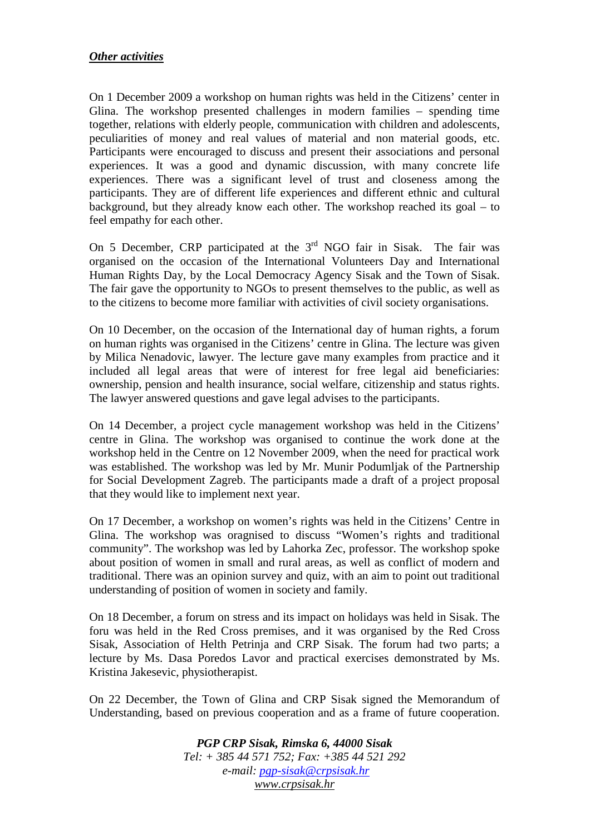On 1 December 2009 a workshop on human rights was held in the Citizens' center in Glina. The workshop presented challenges in modern families – spending time together, relations with elderly people, communication with children and adolescents, peculiarities of money and real values of material and non material goods, etc. Participants were encouraged to discuss and present their associations and personal experiences. It was a good and dynamic discussion, with many concrete life experiences. There was a significant level of trust and closeness among the participants. They are of different life experiences and different ethnic and cultural background, but they already know each other. The workshop reached its goal – to feel empathy for each other.

On 5 December, CRP participated at the  $3<sup>rd</sup>$  NGO fair in Sisak. The fair was organised on the occasion of the International Volunteers Day and International Human Rights Day, by the Local Democracy Agency Sisak and the Town of Sisak. The fair gave the opportunity to NGOs to present themselves to the public, as well as to the citizens to become more familiar with activities of civil society organisations.

On 10 December, on the occasion of the International day of human rights, a forum on human rights was organised in the Citizens' centre in Glina. The lecture was given by Milica Nenadovic, lawyer. The lecture gave many examples from practice and it included all legal areas that were of interest for free legal aid beneficiaries: ownership, pension and health insurance, social welfare, citizenship and status rights. The lawyer answered questions and gave legal advises to the participants.

On 14 December, a project cycle management workshop was held in the Citizens' centre in Glina. The workshop was organised to continue the work done at the workshop held in the Centre on 12 November 2009, when the need for practical work was established. The workshop was led by Mr. Munir Podumljak of the Partnership for Social Development Zagreb. The participants made a draft of a project proposal that they would like to implement next year.

On 17 December, a workshop on women's rights was held in the Citizens' Centre in Glina. The workshop was oragnised to discuss "Women's rights and traditional community". The workshop was led by Lahorka Zec, professor. The workshop spoke about position of women in small and rural areas, as well as conflict of modern and traditional. There was an opinion survey and quiz, with an aim to point out traditional understanding of position of women in society and family.

On 18 December, a forum on stress and its impact on holidays was held in Sisak. The foru was held in the Red Cross premises, and it was organised by the Red Cross Sisak, Association of Helth Petrinja and CRP Sisak. The forum had two parts; a lecture by Ms. Dasa Poredos Lavor and practical exercises demonstrated by Ms. Kristina Jakesevic, physiotherapist.

On 22 December, the Town of Glina and CRP Sisak signed the Memorandum of Understanding, based on previous cooperation and as a frame of future cooperation.